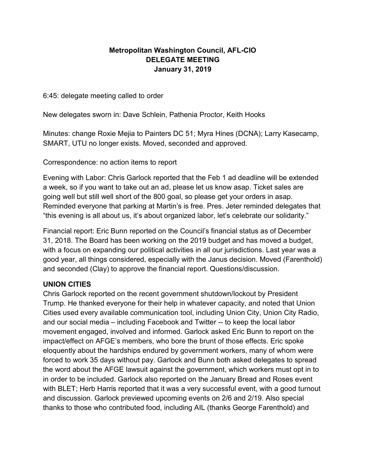### Metropolitan Washington Council, AFL-CIO DELEGATE MEETING January 31, 2019

6:45: delegate meeting called to order

New delegates sworn in: Dave Schlein, Pathenia Proctor, Keith Hooks

Minutes: change Roxie Mejia to Painters DC 51; Myra Hines (DCNA); Larry Kasecamp, SMART, UTU no longer exists. Moved, seconded and approved.

Correspondence: no action items to report

Evening with Labor: Chris Garlock reported that the Feb 1 ad deadline will be extended a week, so if you want to take out an ad, please let us know asap. Ticket sales are going well but still well short of the 800 goal, so please get your orders in asap. Reminded everyone that parking at Martin's is free. Pres. Jeter reminded delegates that "this evening is all about us, it's about organized labor, let's celebrate our solidarity."

Financial report: Eric Bunn reported on the Council's financial status as of December 31, 2018. The Board has been working on the 2019 budget and has moved a budget, with a focus on expanding our political activities in all our jurisdictions. Last year was a good year, all things considered, especially with the Janus decision. Moved (Farenthold) and seconded (Clay) to approve the financial report. Questions/discussion.

#### UNION CITIES

Chris Garlock reported on the recent government shutdown/lockout by President Trump. He thanked everyone for their help in whatever capacity, and noted that Union Cities used every available communication tool, including Union City, Union City Radio, and our social media – including Facebook and Twitter -- to keep the local labor movement engaged, involved and informed. Garlock asked Eric Bunn to report on the impact/effect on AFGE's members, who bore the brunt of those effects. Eric spoke eloquently about the hardships endured by government workers, many of whom were forced to work 35 days without pay. Garlock and Bunn both asked delegates to spread the word about the AFGE lawsuit against the government, which workers must opt in to in order to be included. Garlock also reported on the January Bread and Roses event with BLET; Herb Harris reported that it was a very successful event, with a good turnout and discussion. Garlock previewed upcoming events on 2/6 and 2/19. Also special thanks to those who contributed food, including AIL (thanks George Farenthold) and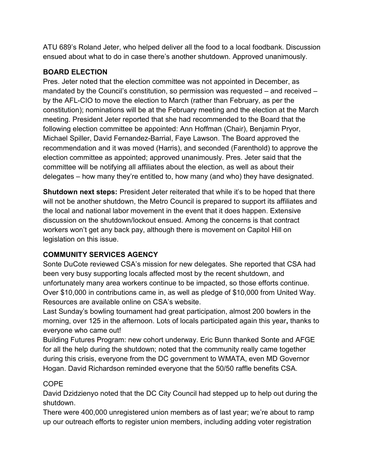ATU 689's Roland Jeter, who helped deliver all the food to a local foodbank. Discussion ensued about what to do in case there's another shutdown. Approved unanimously.

# BOARD ELECTION

Pres. Jeter noted that the election committee was not appointed in December, as mandated by the Council's constitution, so permission was requested – and received – by the AFL-CIO to move the election to March (rather than February, as per the constitution); nominations will be at the February meeting and the election at the March meeting. President Jeter reported that she had recommended to the Board that the following election committee be appointed: Ann Hoffman (Chair), Benjamin Pryor, Michael Spiller, David Fernandez-Barrial, Faye Lawson. The Board approved the recommendation and it was moved (Harris), and seconded (Farenthold) to approve the election committee as appointed; approved unanimously. Pres. Jeter said that the committee will be notifying all affiliates about the election, as well as about their delegates – how many they're entitled to, how many (and who) they have designated.

Shutdown next steps: President Jeter reiterated that while it's to be hoped that there will not be another shutdown, the Metro Council is prepared to support its affiliates and the local and national labor movement in the event that it does happen. Extensive discussion on the shutdown/lockout ensued. Among the concerns is that contract workers won't get any back pay, although there is movement on Capitol Hill on legislation on this issue.

# COMMUNITY SERVICES AGENCY

Sonte DuCote reviewed CSA's mission for new delegates. She reported that CSA had been very busy supporting locals affected most by the recent shutdown, and unfortunately many area workers continue to be impacted, so those efforts continue. Over \$10,000 in contributions came in, as well as pledge of \$10,000 from United Way. Resources are available online on CSA's website.

Last Sunday's bowling tournament had great participation, almost 200 bowlers in the morning, over 125 in the afternoon. Lots of locals participated again this year, thanks to everyone who came out!

Building Futures Program: new cohort underway. Eric Bunn thanked Sonte and AFGE for all the help during the shutdown; noted that the community really came together during this crisis, everyone from the DC government to WMATA, even MD Governor Hogan. David Richardson reminded everyone that the 50/50 raffle benefits CSA.

## COPE

David Dzidzienyo noted that the DC City Council had stepped up to help out during the shutdown.

There were 400,000 unregistered union members as of last year; we're about to ramp up our outreach efforts to register union members, including adding voter registration